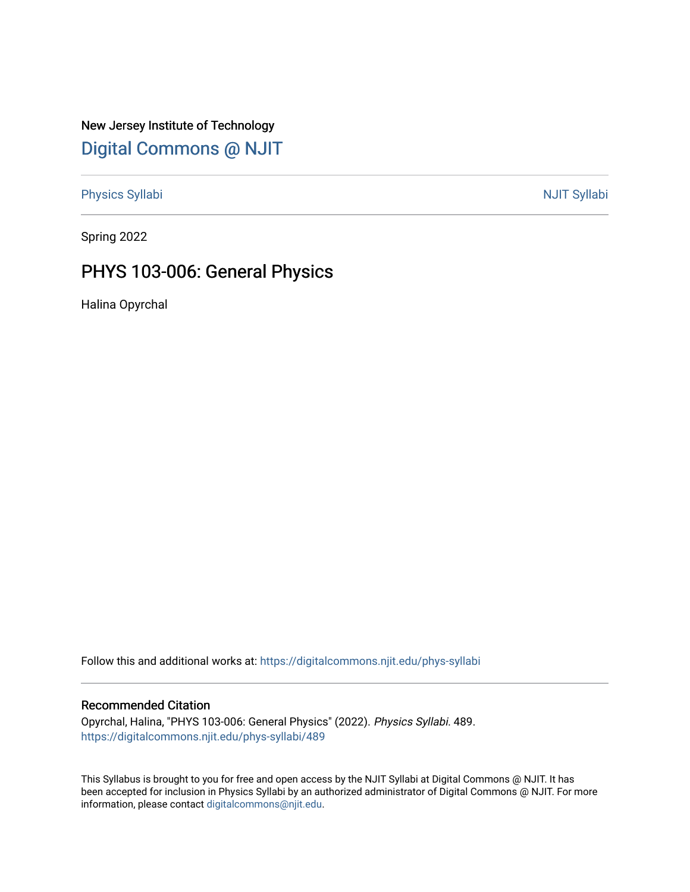New Jersey Institute of Technology [Digital Commons @ NJIT](https://digitalcommons.njit.edu/) 

[Physics Syllabi](https://digitalcommons.njit.edu/phys-syllabi) **NJIT Syllabi** [NJIT Syllabi](https://digitalcommons.njit.edu/syllabi) and the syllabidity of the syllabidity of the syllabidity of the syllabidity of the syllabidity of the syllabidity of the syllabidity of the syllabidity of the syllabidity of the

Spring 2022

# PHYS 103-006: General Physics

Halina Opyrchal

Follow this and additional works at: [https://digitalcommons.njit.edu/phys-syllabi](https://digitalcommons.njit.edu/phys-syllabi?utm_source=digitalcommons.njit.edu%2Fphys-syllabi%2F489&utm_medium=PDF&utm_campaign=PDFCoverPages) 

#### Recommended Citation

Opyrchal, Halina, "PHYS 103-006: General Physics" (2022). Physics Syllabi. 489. [https://digitalcommons.njit.edu/phys-syllabi/489](https://digitalcommons.njit.edu/phys-syllabi/489?utm_source=digitalcommons.njit.edu%2Fphys-syllabi%2F489&utm_medium=PDF&utm_campaign=PDFCoverPages) 

This Syllabus is brought to you for free and open access by the NJIT Syllabi at Digital Commons @ NJIT. It has been accepted for inclusion in Physics Syllabi by an authorized administrator of Digital Commons @ NJIT. For more information, please contact [digitalcommons@njit.edu.](mailto:digitalcommons@njit.edu)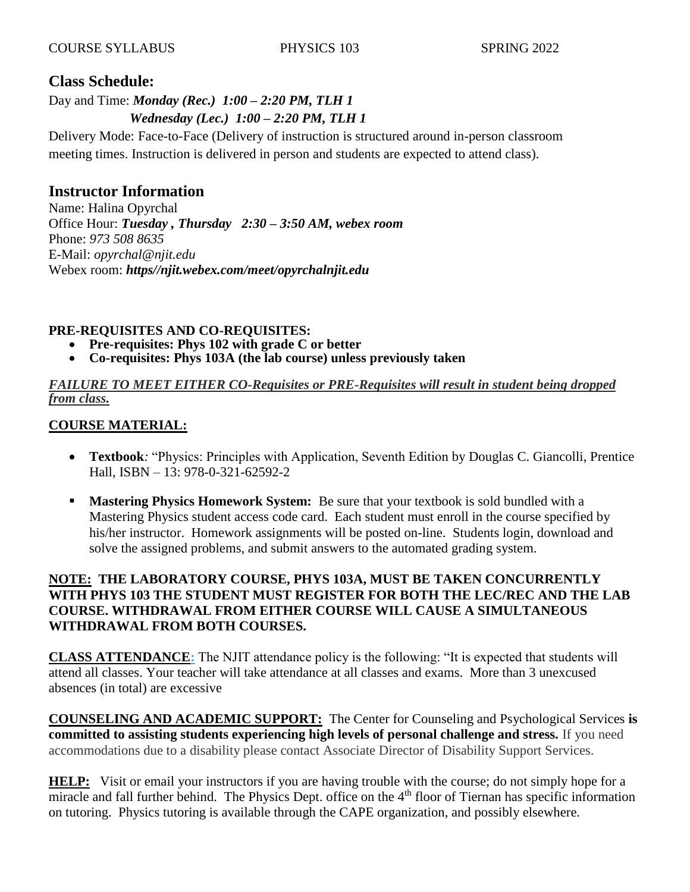## **Class Schedule:**

#### Day and Time: *Monday (Rec.) 1:00 – 2:20 PM, TLH 1 Wednesday (Lec.) 1:00 – 2:20 PM, TLH 1*

Delivery Mode: Face-to-Face (Delivery of instruction is structured around in-person classroom meeting times. Instruction is delivered in person and students are expected to attend class).

# **Instructor Information**

Name: Halina Opyrchal Office Hour: *Tuesday , Thursday 2:30 – 3:50 AM, webex room* Phone: *973 508 8635* E-Mail: *opyrchal@njit.edu* Webex room: *https//njit.webex.com/meet/opyrchalnjit.edu*

#### **PRE-REQUISITES AND CO-REQUISITES:**

- **Pre-requisites: Phys 102 with grade C or better**
- **Co-requisites: Phys 103A (the lab course) unless previously taken**

#### *FAILURE TO MEET EITHER CO-Requisites or PRE-Requisites will result in student being dropped from class.*

#### **COURSE MATERIAL:**

- **Textbook***:* "Physics: Principles with Application, Seventh Edition by Douglas C. Giancolli, Prentice Hall, ISBN – 13: 978-0-321-62592-2
- **Mastering Physics Homework System:** Be sure that your textbook is sold bundled with a Mastering Physics student access code card. Each student must enroll in the course specified by his/her instructor. Homework assignments will be posted on-line. Students login, download and solve the assigned problems, and submit answers to the automated grading system.

#### **NOTE: THE LABORATORY COURSE, PHYS 103A, MUST BE TAKEN CONCURRENTLY WITH PHYS 103 THE STUDENT MUST REGISTER FOR BOTH THE LEC/REC AND THE LAB COURSE. WITHDRAWAL FROM EITHER COURSE WILL CAUSE A SIMULTANEOUS WITHDRAWAL FROM BOTH COURSES.**

**CLASS ATTENDANCE:** The NJIT attendance policy is the following: "It is expected that students will attend all classes. Your teacher will take attendance at all classes and exams. More than 3 unexcused absences (in total) are excessive

**COUNSELING AND ACADEMIC SUPPORT:** The Center for Counseling and Psychological Services **is committed to assisting students experiencing high levels of personal challenge and stress.** If you need accommodations due to a disability please contact Associate Director of Disability Support Services.

**HELP:** Visit or email your instructors if you are having trouble with the course; do not simply hope for a miracle and fall further behind. The Physics Dept. office on the 4<sup>th</sup> floor of Tiernan has specific information on tutoring. Physics tutoring is available through the CAPE organization, and possibly elsewhere.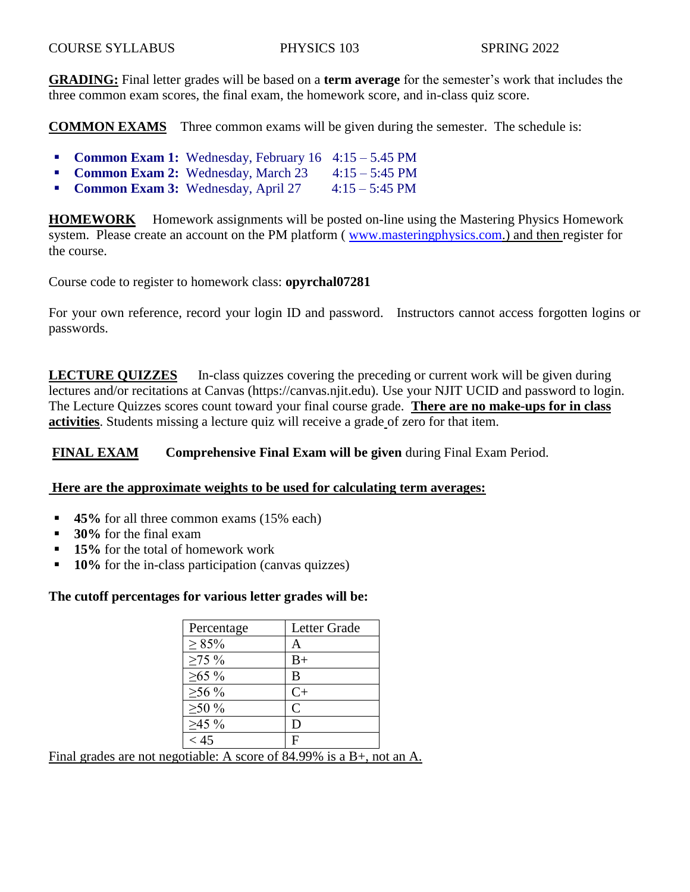**GRADING:** Final letter grades will be based on a **term average** for the semester's work that includes the three common exam scores, the final exam, the homework score, and in-class quiz score.

**COMMON EXAMS** Three common exams will be given during the semester. The schedule is:

- **Common Exam 1:** Wednesday, February 16 4:15 5.45 PM
- **Common Exam 2:** Wednesday, March 23 4:15 5:45 PM
- **Common Exam 3:** Wednesday, April 27 4:15 5:45 PM

**HOMEWORK** Homework assignments will be posted on-line using the Mastering Physics Homework system. Please create an account on the PM platform ([www.masteringphysics.com.](http://www.masteringphysics.com/)) and then register for the course.

Course code to register to homework class: **opyrchal07281**

For your own reference, record your login ID and password. Instructors cannot access forgotten logins or passwords.

**LECTURE QUIZZES** In-class quizzes covering the preceding or current work will be given during lectures and/or recitations at Canvas (https://canvas.njit.edu). Use your NJIT UCID and password to login. The Lecture Quizzes scores count toward your final course grade. **There are no make-ups for in class activities**. Students missing a lecture quiz will receive a grade of zero for that item.

**FINAL EXAM Comprehensive Final Exam will be given** during Final Exam Period.

#### **Here are the approximate weights to be used for calculating term averages:**

- **45%** for all three common exams (15% each)
- **30%** for the final exam
- **15%** for the total of homework work
- **10%** for the in-class participation (canvas quizzes)

#### **The cutoff percentages for various letter grades will be:**

| Percentage   | Letter Grade |
|--------------|--------------|
| $\geq 85\%$  | А            |
| $\geq 75\%$  | $_{\rm B+}$  |
| $≥65\%$      | B            |
| $\geq 56\%$  | $C+$         |
| $\geq 50 \%$ | C            |
| $\geq 45 \%$ | D            |
| < 45         | F            |

Final grades are not negotiable: A score of 84.99% is a B+, not an A.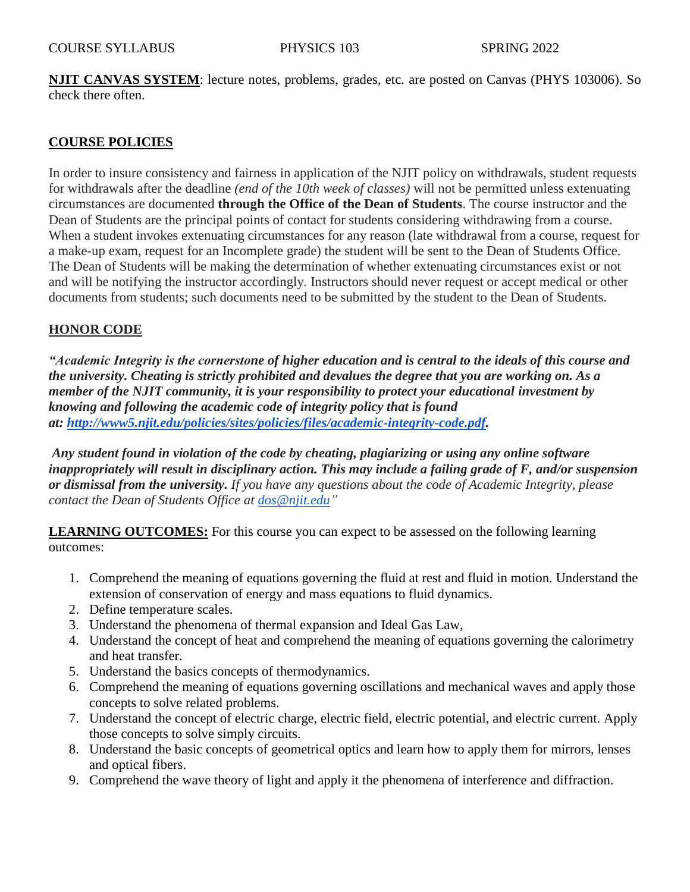**NJIT CANVAS SYSTEM**: lecture notes, problems, grades, etc. are posted on Canvas (PHYS 103006). So check there often.

#### **COURSE POLICIES**

In order to insure consistency and fairness in application of the NJIT policy on withdrawals, student requests for withdrawals after the deadline *(end of the 10th week of classes)* will not be permitted unless extenuating circumstances are documented **through the Office of the Dean of Students**. The course instructor and the Dean of Students are the principal points of contact for students considering withdrawing from a course. When a student invokes extenuating circumstances for any reason (late withdrawal from a course, request for a make-up exam, request for an Incomplete grade) the student will be sent to the Dean of Students Office. The Dean of Students will be making the determination of whether extenuating circumstances exist or not and will be notifying the instructor accordingly. Instructors should never request or accept medical or other documents from students; such documents need to be submitted by the student to the Dean of Students.

#### **HONOR CODE**

*"Academic Integrity is the cornerstone of higher education and is central to the ideals of this course and the university. Cheating is strictly prohibited and devalues the degree that you are working on. As a member of the NJIT community, it is your responsibility to protect your educational investment by knowing and following the academic code of integrity policy that is found at: [http://www5.njit.edu/policies/sites/policies/files/academic-integrity-code.pdf.](http://www5.njit.edu/policies/sites/policies/files/academic-integrity-code.pdf)* 

*Any student found in violation of the code by cheating, plagiarizing or using any online software inappropriately will result in disciplinary action. This may include a failing grade of F, and/or suspension or dismissal from the university. If you have any questions about the code of Academic Integrity, please contact the Dean of Students Office at [dos@njit.edu"](mailto:dos@njit.edu)*

**LEARNING OUTCOMES:** For this course you can expect to be assessed on the following learning outcomes:

- 1. Comprehend the meaning of equations governing the fluid at rest and fluid in motion. Understand the extension of conservation of energy and mass equations to fluid dynamics.
- 2. Define temperature scales.
- 3. Understand the phenomena of thermal expansion and Ideal Gas Law,
- 4. Understand the concept of heat and comprehend the meaning of equations governing the calorimetry and heat transfer.
- 5. Understand the basics concepts of thermodynamics.
- 6. Comprehend the meaning of equations governing oscillations and mechanical waves and apply those concepts to solve related problems.
- 7. Understand the concept of electric charge, electric field, electric potential, and electric current. Apply those concepts to solve simply circuits.
- 8. Understand the basic concepts of geometrical optics and learn how to apply them for mirrors, lenses and optical fibers.
- 9. Comprehend the wave theory of light and apply it the phenomena of interference and diffraction.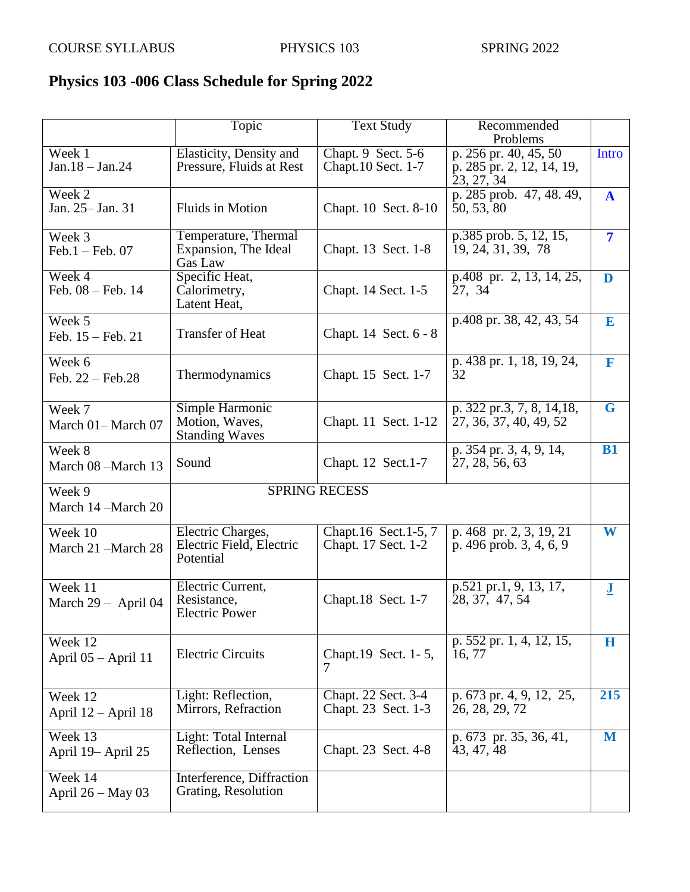## **Physics 103 -006 Class Schedule for Spring 2022**

|                                  | Topic                                                      | <b>Text Study</b>                           | Recommended                                                      |                         |
|----------------------------------|------------------------------------------------------------|---------------------------------------------|------------------------------------------------------------------|-------------------------|
|                                  |                                                            |                                             | Problems                                                         |                         |
| Week 1<br>$Jan.18 - Jan.24$      | Elasticity, Density and<br>Pressure, Fluids at Rest        | Chapt. 9 Sect. 5-6<br>Chapt.10 Sect. 1-7    | p. 256 pr. 40, 45, 50<br>p. 285 pr. 2, 12, 14, 19,<br>23, 27, 34 | Intro                   |
| Week 2<br>Jan. 25 - Jan. 31      | <b>Fluids in Motion</b>                                    |                                             | p. 285 prob. 47, 48. 49,<br>50, 53, 80                           | $\mathbf{A}$            |
| Week 3<br>$Feb.1 - Feb.07$       | Temperature, Thermal<br>Expansion, The Ideal<br>Gas Law    | Chapt. 13 Sect. 1-8                         | p.385 prob. 5, 12, 15,<br>19, 24, 31, 39, 78                     | $\overline{7}$          |
| Week 4<br>Feb. 08 - Feb. 14      | Specific Heat,<br>Calorimetry,<br>Latent Heat,             | Chapt. 14 Sect. 1-5                         | p.408 pr. 2, 13, 14, 25,<br>27, 34                               | D                       |
| Week 5<br>Feb. 15 - Feb. 21      | <b>Transfer of Heat</b>                                    | Chapt. 14 Sect. 6 - 8                       | p.408 pr. 38, 42, 43, 54                                         | E                       |
| Week 6<br>Feb. 22 - Feb. 28      | Thermodynamics                                             | Chapt. 15 Sect. 1-7                         | p. 438 pr. 1, 18, 19, 24,<br>32                                  | F                       |
| Week 7<br>March 01-March 07      | Simple Harmonic<br>Motion, Waves,<br><b>Standing Waves</b> | Chapt. 11 Sect. 1-12                        | p. 322 pr.3, 7, 8, 14, 18,<br>27, 36, 37, 40, 49, 52             | $\overline{G}$          |
| Week 8<br>March 08 -March 13     | Sound                                                      | Chapt. 12 Sect.1-7                          | p. 354 pr. 3, 4, 9, 14,<br>27, 28, 56, 63                        | <b>B1</b>               |
| Week 9<br>March 14 –March 20     |                                                            | <b>SPRING RECESS</b>                        |                                                                  |                         |
| Week 10<br>March 21 -March 28    | Electric Charges,<br>Electric Field, Electric<br>Potential | Chapt.16 Sect.1-5, 7<br>Chapt. 17 Sect. 1-2 | p. 468 pr. 2, 3, 19, 21<br>p. 496 prob. 3, 4, 6, 9               | W                       |
| Week 11<br>March $29 -$ April 04 | Electric Current,<br>Resistance,<br><b>Electric Power</b>  | Chapt.18 Sect. 1-7                          | p.521 pr.1, 9, 13, 17,<br>28, 37, 47, 54                         | $\overline{\mathbf{J}}$ |
| Week 12<br>April 05 - April 11   | <b>Electric Circuits</b>                                   | Chapt.19 Sect. 1-5,<br>7                    | p. 552 pr. 1, 4, 12, 15,<br>16, 77                               | $\bf H$                 |
| Week 12<br>April $12 -$ April 18 | Light: Reflection,<br>Mirrors, Refraction                  | Chapt. 22 Sect. 3-4<br>Chapt. 23 Sect. 1-3  | p. 673 pr. 4, 9, 12, 25,<br>26, 28, 29, 72                       | 215                     |
| Week 13<br>April 19 - April 25   | Light: Total Internal<br>Reflection, Lenses                | Chapt. 23 Sect. 4-8                         | p. 673 pr. 35, 36, 41,<br>43, 47, 48                             | M                       |
| Week 14<br>April $26 - May 03$   | Interference, Diffraction<br>Grating, Resolution           |                                             |                                                                  |                         |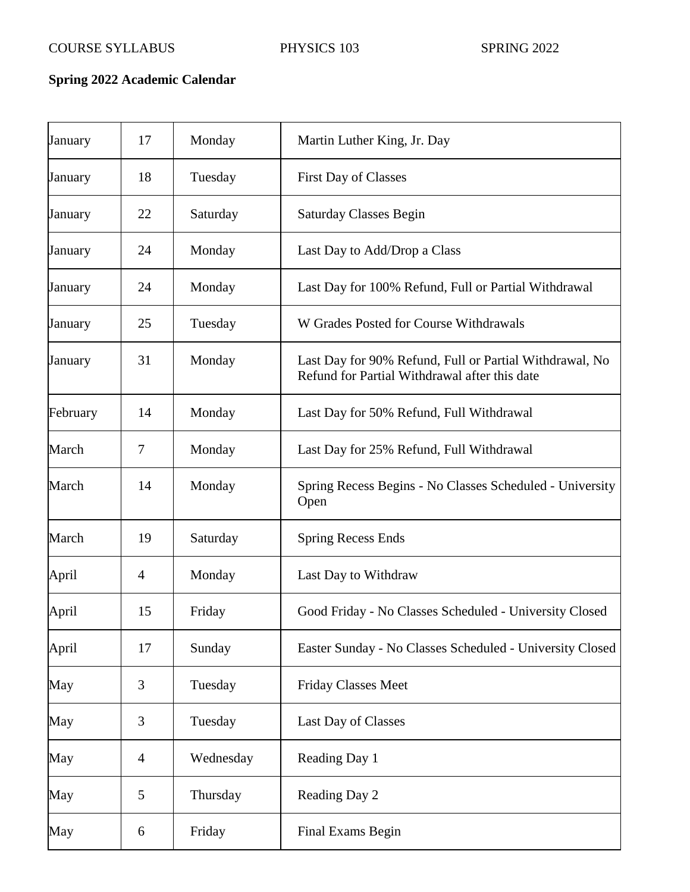# **Spring 2022 Academic Calendar**

| January  | 17             | Monday    | Martin Luther King, Jr. Day                                                                              |
|----------|----------------|-----------|----------------------------------------------------------------------------------------------------------|
| January  | 18             | Tuesday   | <b>First Day of Classes</b>                                                                              |
| January  | 22             | Saturday  | <b>Saturday Classes Begin</b>                                                                            |
| January  | 24             | Monday    | Last Day to Add/Drop a Class                                                                             |
| January  | 24             | Monday    | Last Day for 100% Refund, Full or Partial Withdrawal                                                     |
| January  | 25             | Tuesday   | W Grades Posted for Course Withdrawals                                                                   |
| January  | 31             | Monday    | Last Day for 90% Refund, Full or Partial Withdrawal, No<br>Refund for Partial Withdrawal after this date |
| February | 14             | Monday    | Last Day for 50% Refund, Full Withdrawal                                                                 |
| March    | 7              | Monday    | Last Day for 25% Refund, Full Withdrawal                                                                 |
| March    | 14             | Monday    | Spring Recess Begins - No Classes Scheduled - University<br>Open                                         |
| March    | 19             | Saturday  | <b>Spring Recess Ends</b>                                                                                |
| April    | 4              | Monday    | Last Day to Withdraw                                                                                     |
| April    | 15             | Friday    | Good Friday - No Classes Scheduled - University Closed                                                   |
| April    | 17             | Sunday    | Easter Sunday - No Classes Scheduled - University Closed                                                 |
| May      | 3              | Tuesday   | Friday Classes Meet                                                                                      |
| May      | 3              | Tuesday   | Last Day of Classes                                                                                      |
| May      | $\overline{4}$ | Wednesday | Reading Day 1                                                                                            |
| May      | 5              | Thursday  | Reading Day 2                                                                                            |
| May      | 6              | Friday    | <b>Final Exams Begin</b>                                                                                 |